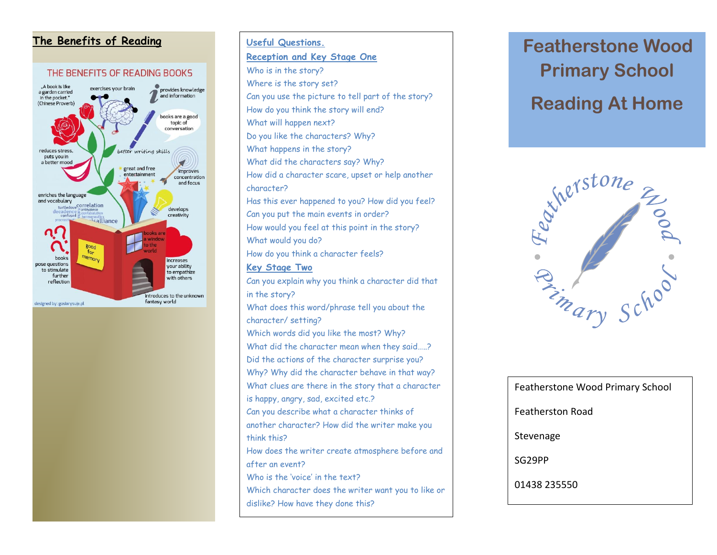

## The Benefits of Reading **Figure 1 Featherstone Wood Useful Questions. Reception and Key Stage One** Who is in the story? Where is the story set? Can you use the picture to tell part of the story? How do you think the story will end? What will happen next? Do you like the characters? Why? What happens in the story? What did the characters say? Why? How did a character scare, upset or help another character? Has this ever happened to you? How did you feel? Can you put the main events in order? How would you feel at this point in the story? What would you do? How do you think a character feels? **Key Stage Two** Can you explain why you think a character did that

in the story? What does this word/phrase tell you about the character/ setting? Which words did you like the most? Why? What did the character mean when they said.....? Did the actions of the character surprise you? Why? Why did the character behave in that way? What clues are there in the story that a character is happy, angry, sad, excited etc.? Can you describe what a character thinks of another character? How did the writer make you think this? How does the writer create atmosphere before and after an event? Who is the 'voice' in the text? Which character does the writer want you to like or dislike? How have they done this?

# **Primary School Reading At Home**



| Featherstone Wood Primary School |
|----------------------------------|
| Featherston Road                 |
| Stevenage                        |
| SG29PP                           |
| 01438 235550                     |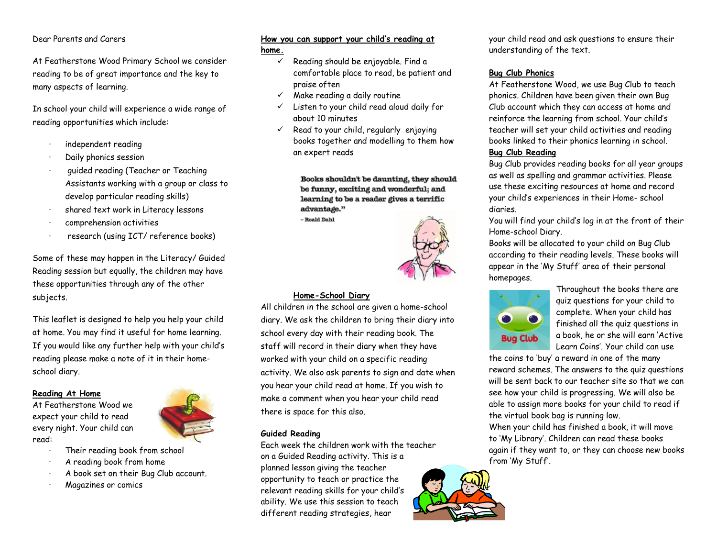#### Dear Parents and Carers

At Featherstone Wood Primary School we consider reading to be of great importance and the key to many aspects of learning.

In school your child will experience a wide range of reading opportunities which include:

- · independent reading
- Daily phonics session
- quided reading (Teacher or Teaching Assistants working with a group or class to develop particular reading skills)
- shared text work in Literacy lessons
- comprehension activities
- research (using ICT/ reference books)

Some of these may happen in the Literacy/ Guided Reading session but equally, the children may have these opportunities through any of the other subjects.

This leaflet is designed to help you help your child at home. You may find it useful for home learning. If you would like any further help with your child's reading please make a note of it in their homeschool diary.

#### **Reading At Home**

At Featherstone Wood we expect your child to read every night. Your child can read:

- Their reading book from school
- A reading book from home
- · A book set on their Bug Club account.
- · Magazines or comics

# **How you can support your child's reading at**

#### **home.**

- $\checkmark$  Reading should be enjoyable. Find a comfortable place to read, be patient and praise often
- $\checkmark$  Make reading a daily routine
- Listen to your child read aloud daily for about 10 minutes
- Read to your child, regularly enjoying books together and modelling to them how an expert reads

Books shouldn't be daunting, they should be funny, exciting and wonderful; and learning to be a reader gives a terrific advantage."

- Roald Dahl



#### **Home-School Diary**

All children in the school are given a home-school diary. We ask the children to bring their diary into school every day with their reading book. The staff will record in their diary when they have worked with your child on a specific reading activity. We also ask parents to sign and date when you hear your child read at home. If you wish to make a comment when you hear your child read there is space for this also.

#### **Guided Reading**

Each week the children work with the teacher on a Guided Reading activity. This is a planned lesson giving the teacher opportunity to teach or practice the relevant reading skills for your child's ability. We use this session to teach different reading strategies, hear

your child read and ask questions to ensure their understanding of the text.

### **Bug Club Phonics**

At Featherstone Wood, we use Bug Club to teach phonics. Children have been given their own Bug Club account which they can access at home and reinforce the learning from school. Your child's teacher will set your child activities and reading books linked to their phonics learning in school.

#### **Bug Club Reading**

Bug Club provides reading books for all year groups as well as spelling and grammar activities. Please use these exciting resources at home and record your child's experiences in their Home- school diaries.

You will find your child's log in at the front of their Home-school Diary.

Books will be allocated to your child on Bug Club according to their reading levels. These books will appear in the 'My Stuff' area of their personal homepages.



Throughout the books there are quiz questions for your child to complete. When your child has finished all the quiz questions in a book, he or she will earn 'Active Learn Coins'. Your child can use

the coins to 'buy' a reward in one of the many reward schemes. The answers to the quiz questions will be sent back to our teacher site so that we can see how your child is progressing. We will also be able to assign more books for your child to read if the virtual book bag is running low.

When your child has finished a book, it will move to 'My Library'. Children can read these books again if they want to, or they can choose new books from 'My Stuff'.